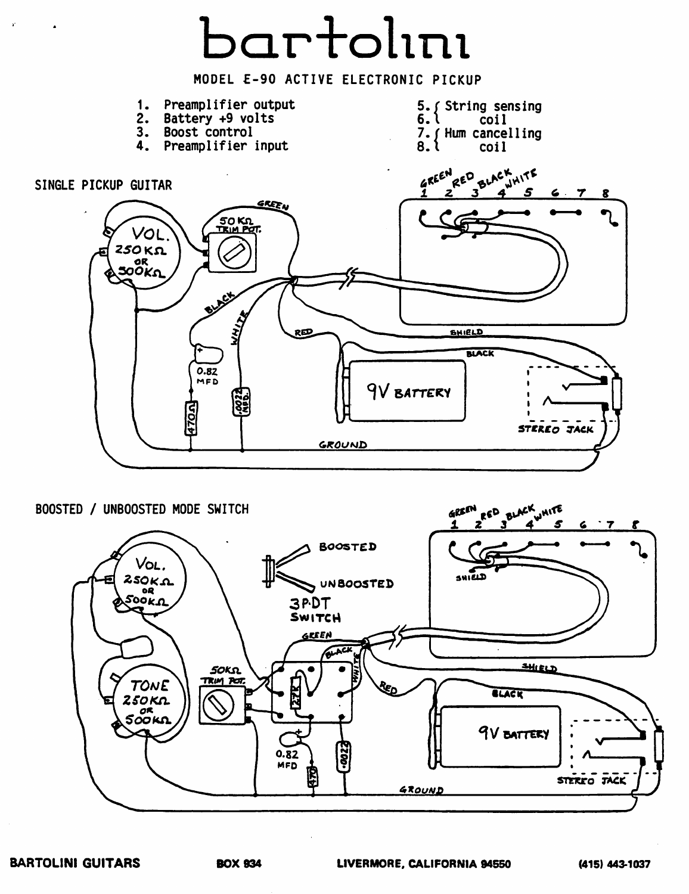

BOOSTED / UNBOOSTED MODE SWITCH